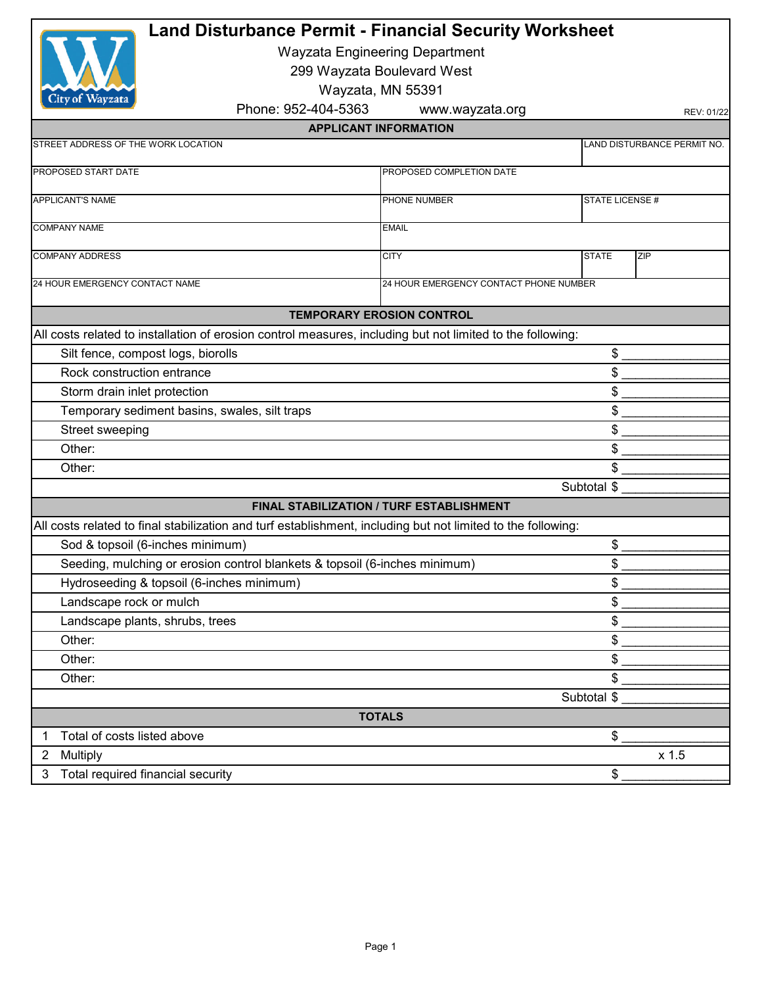| <b>Land Disturbance Permit - Financial Security Worksheet</b><br><b>Wayzata Engineering Department</b><br>299 Wayzata Boulevard West<br>Wayzata, MN 55391<br>City of Wayzata |                                |                                        |                            |                              |                                     |                 |                             |
|------------------------------------------------------------------------------------------------------------------------------------------------------------------------------|--------------------------------|----------------------------------------|----------------------------|------------------------------|-------------------------------------|-----------------|-----------------------------|
|                                                                                                                                                                              |                                |                                        |                            |                              | Phone: 952-404-5363                 | www.wayzata.org | REV: 01/22                  |
|                                                                                                                                                                              |                                |                                        |                            | <b>APPLICANT INFORMATION</b> |                                     |                 |                             |
|                                                                                                                                                                              |                                |                                        |                            |                              | STREET ADDRESS OF THE WORK LOCATION |                 | LAND DISTURBANCE PERMIT NO. |
|                                                                                                                                                                              | PROPOSED START DATE            | PROPOSED COMPLETION DATE               |                            |                              |                                     |                 |                             |
|                                                                                                                                                                              |                                |                                        |                            |                              |                                     |                 |                             |
| <b>APPLICANT'S NAME</b>                                                                                                                                                      |                                | PHONE NUMBER                           | STATE LICENSE #            |                              |                                     |                 |                             |
| <b>COMPANY NAME</b>                                                                                                                                                          |                                | <b>EMAIL</b>                           |                            |                              |                                     |                 |                             |
|                                                                                                                                                                              | <b>COMPANY ADDRESS</b>         | <b>CITY</b>                            | <b>STATE</b><br><b>ZIP</b> |                              |                                     |                 |                             |
|                                                                                                                                                                              | 24 HOUR EMERGENCY CONTACT NAME | 24 HOUR EMERGENCY CONTACT PHONE NUMBER |                            |                              |                                     |                 |                             |
|                                                                                                                                                                              |                                |                                        |                            |                              |                                     |                 |                             |
| <b>TEMPORARY EROSION CONTROL</b>                                                                                                                                             |                                |                                        |                            |                              |                                     |                 |                             |
| All costs related to installation of erosion control measures, including but not limited to the following:                                                                   |                                |                                        |                            |                              |                                     |                 |                             |
| Silt fence, compost logs, biorolls                                                                                                                                           |                                |                                        | \$                         |                              |                                     |                 |                             |
| Rock construction entrance                                                                                                                                                   |                                |                                        | \$                         |                              |                                     |                 |                             |
| Storm drain inlet protection                                                                                                                                                 |                                |                                        | \$                         |                              |                                     |                 |                             |
| Temporary sediment basins, swales, silt traps                                                                                                                                |                                |                                        | \$                         |                              |                                     |                 |                             |
| Street sweeping                                                                                                                                                              |                                |                                        | \$                         |                              |                                     |                 |                             |
| Other:                                                                                                                                                                       |                                | \$                                     |                            |                              |                                     |                 |                             |
| Other:                                                                                                                                                                       |                                |                                        | \$                         |                              |                                     |                 |                             |
|                                                                                                                                                                              |                                | Subtotal \$                            |                            |                              |                                     |                 |                             |
| FINAL STABILIZATION / TURF ESTABLISHMENT                                                                                                                                     |                                |                                        |                            |                              |                                     |                 |                             |
| All costs related to final stabilization and turf establishment, including but not limited to the following:                                                                 |                                |                                        |                            |                              |                                     |                 |                             |
| Sod & topsoil (6-inches minimum)<br>\$                                                                                                                                       |                                |                                        |                            |                              |                                     |                 |                             |
| Seeding, mulching or erosion control blankets & topsoil (6-inches minimum)                                                                                                   |                                |                                        | \$                         |                              |                                     |                 |                             |
| Hydroseeding & topsoil (6-inches minimum)                                                                                                                                    |                                |                                        | \$                         |                              |                                     |                 |                             |
| Landscape rock or mulch                                                                                                                                                      |                                |                                        | \$                         |                              |                                     |                 |                             |
| Landscape plants, shrubs, trees                                                                                                                                              |                                |                                        | \$                         |                              |                                     |                 |                             |
| Other:                                                                                                                                                                       |                                |                                        | \$                         |                              |                                     |                 |                             |
| Other:                                                                                                                                                                       |                                |                                        | \$                         |                              |                                     |                 |                             |
| Other:                                                                                                                                                                       |                                | \$                                     |                            |                              |                                     |                 |                             |
|                                                                                                                                                                              |                                | Subtotal \$                            |                            |                              |                                     |                 |                             |
| <b>TOTALS</b>                                                                                                                                                                |                                |                                        |                            |                              |                                     |                 |                             |
| 1                                                                                                                                                                            | Total of costs listed above    |                                        | \$                         |                              |                                     |                 |                             |
| $\overline{2}$                                                                                                                                                               | Multiply                       |                                        | x 1.5                      |                              |                                     |                 |                             |
| Total required financial security<br>3                                                                                                                                       |                                | \$                                     |                            |                              |                                     |                 |                             |
|                                                                                                                                                                              |                                |                                        |                            |                              |                                     |                 |                             |